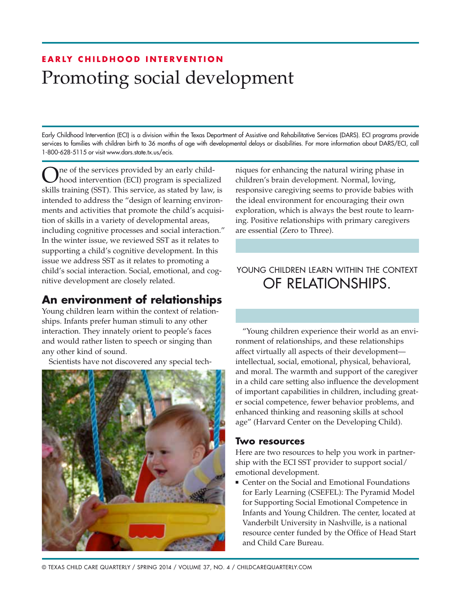# **EARLY CHILDHOOD INTERVENTION** Promoting social development

Early Childhood Intervention (ECI) is a division within the Texas Department of Assistive and Rehabilitative Services (DARS). ECI programs provide services to families with children birth to 36 months of age with developmental delays or disabilities. For more information about DARS /ECI, call 1-800-628-5115 or visit www.dars.state.tx.us/ecis.

One of the services provided by an early child-hood intervention (ECI) program is specialized skills training (SST). This service, as stated by law, is intended to address the "design of learning environments and activities that promote the child's acquisition of skills in a variety of developmental areas, including cognitive processes and social interaction." In the winter issue, we reviewed SST as it relates to supporting a child's cognitive development. In this issue we address SST as it relates to promoting a child's social interaction. Social, emotional, and cognitive development are closely related.

## **An environment of relationships**

Young children learn within the context of relationships. Infants prefer human stimuli to any other interaction. They innately orient to people's faces and would rather listen to speech or singing than any other kind of sound.

Scientists have not discovered any special tech-



niques for enhancing the natural wiring phase in children's brain development. Normal, loving, responsive caregiving seems to provide babies with the ideal environment for encouraging their own exploration, which is always the best route to learning. Positive relationships with primary caregivers are essential (Zero to Three).

### YOUNG CHILDREN LEARN WITHIN THE CONTEXT of relationships.

"Young children experience their world as an environment of relationships, and these relationships affect virtually all aspects of their development intellectual, social, emotional, physical, behavioral, and moral. The warmth and support of the caregiver in a child care setting also influence the development of important capabilities in children, including greater social competence, fewer behavior problems, and enhanced thinking and reasoning skills at school age" (Harvard Center on the Developing Child).

#### **Two resources**

Here are two resources to help you work in partnership with the ECI SST provider to support social/ emotional development.

■ Center on the Social and Emotional Foundations for Early Learning (CSEFEL): The Pyramid Model for Supporting Social Emotional Competence in Infants and Young Children. The center, located at Vanderbilt University in Nashville, is a national resource center funded by the Office of Head Start and Child Care Bureau.